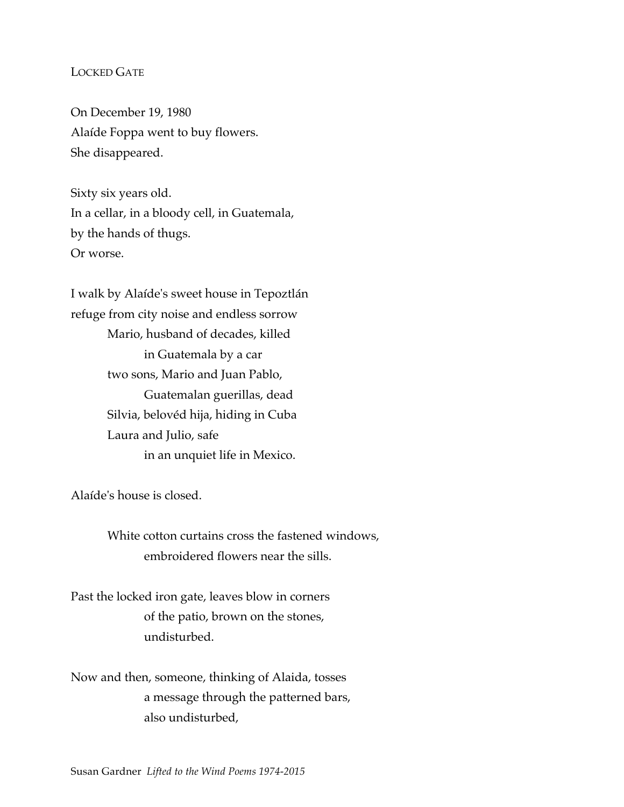# LOCKED GATE

On December 19, 1980 Alaíde Foppa went to buy flowers. She disappeared.

Sixty six years old. In a cellar, in a bloody cell, in Guatemala, by the hands of thugs. Or worse.

I walk by Alaíde's sweet house in Tepoztlán refuge from city noise and endless sorrow Mario, husband of decades, killed in Guatemala by a car two sons, Mario and Juan Pablo, Guatemalan guerillas, dead Silvia, belovéd hija, hiding in Cuba Laura and Julio, safe in an unquiet life in Mexico.

Alaíde's house is closed.

White cotton curtains cross the fastened windows, embroidered flowers near the sills.

Past the locked iron gate, leaves blow in corners of the patio, brown on the stones, undisturbed.

Now and then, someone, thinking of Alaida, tosses a message through the patterned bars, also undisturbed,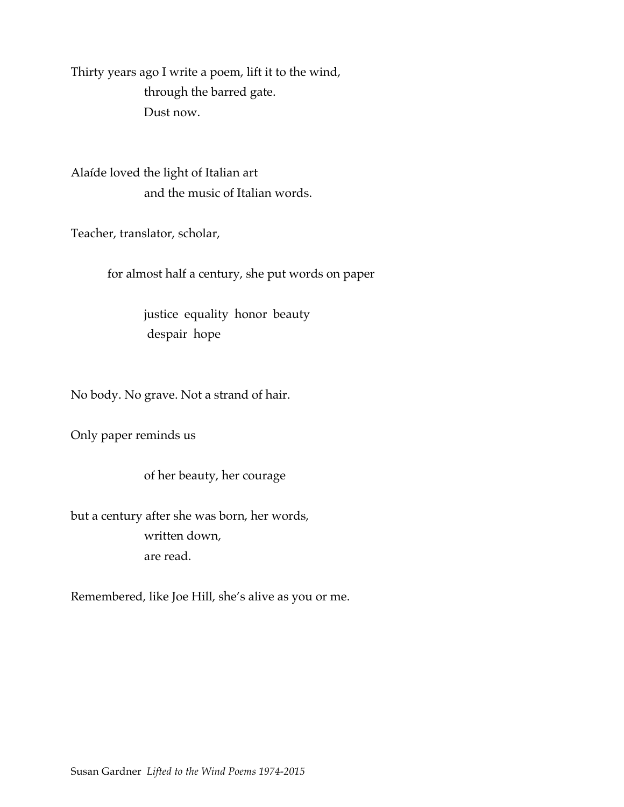Thirty years ago I write a poem, lift it to the wind, through the barred gate. Dust now.

Alaíde loved the light of Italian art and the music of Italian words.

Teacher, translator, scholar,

for almost half a century, she put words on paper

justice equality honor beauty despair hope

No body. No grave. Not a strand of hair.

Only paper reminds us

of her beauty, her courage

but a century after she was born, her words, written down, are read.

Remembered, like Joe Hill, she's alive as you or me.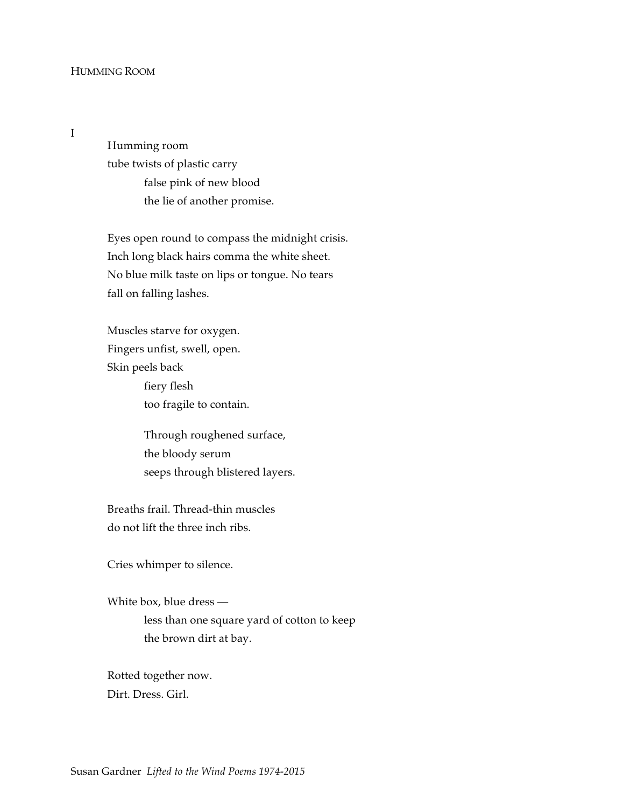## HUMMING ROOM

I

Humming room tube twists of plastic carry false pink of new blood the lie of another promise.

Eyes open round to compass the midnight crisis. Inch long black hairs comma the white sheet. No blue milk taste on lips or tongue. No tears fall on falling lashes.

Muscles starve for oxygen. Fingers unfist, swell, open. Skin peels back fiery flesh too fragile to contain.

> Through roughened surface, the bloody serum seeps through blistered layers.

Breaths frail. Thread-thin muscles do not lift the three inch ribs.

Cries whimper to silence.

White box, blue dress less than one square yard of cotton to keep the brown dirt at bay.

Rotted together now. Dirt. Dress. Girl.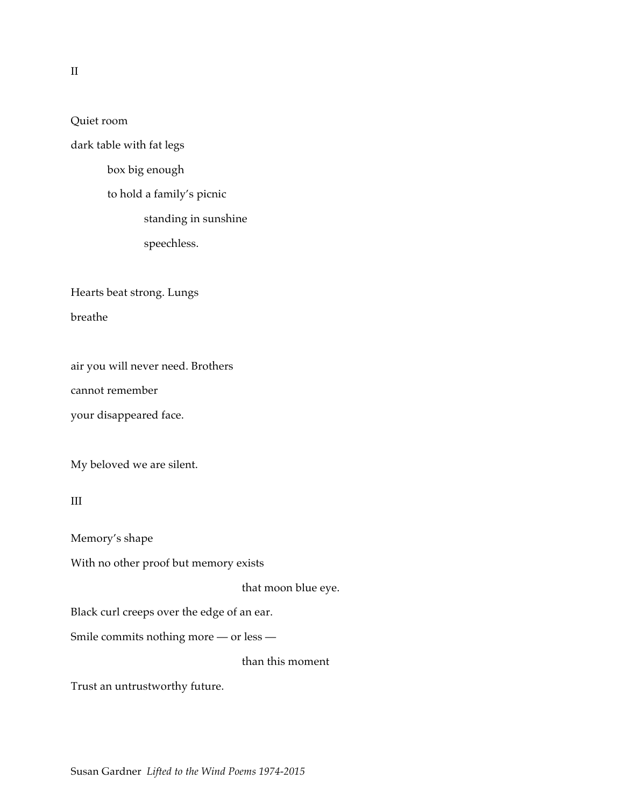Quiet room

dark table with fat legs

box big enough

to hold a family's picnic

standing in sunshine

speechless.

Hearts beat strong. Lungs

breathe

air you will never need. Brothers cannot remember your disappeared face.

My beloved we are silent.

III

Memory's shape

With no other proof but memory exists

that moon blue eye.

Black curl creeps over the edge of an ear.

Smile commits nothing more — or less —

than this moment

Trust an untrustworthy future.

II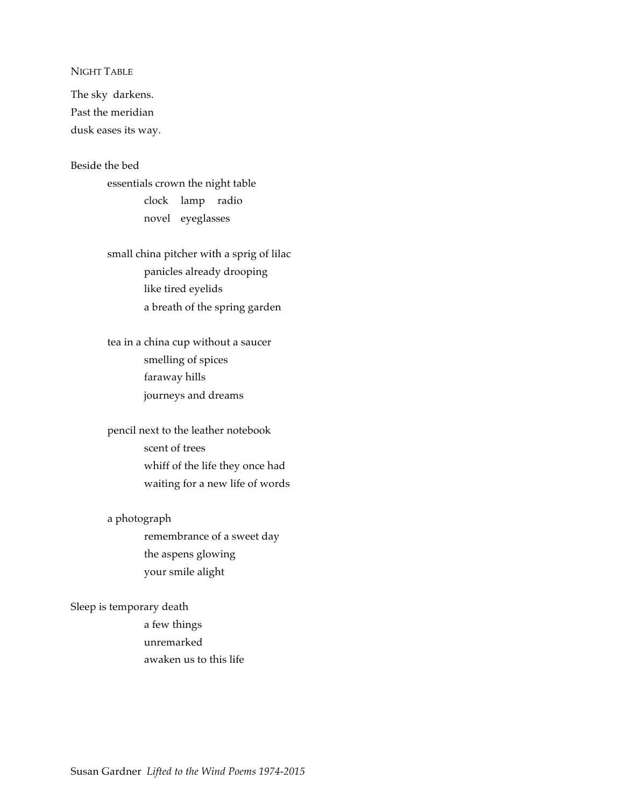## NIGHT TABLE

The sky darkens. Past the meridian dusk eases its way.

## Beside the bed

essentials crown the night table clock lamp radio novel eyeglasses

small china pitcher with a sprig of lilac panicles already drooping like tired eyelids a breath of the spring garden

tea in a china cup without a saucer smelling of spices faraway hills journeys and dreams

pencil next to the leather notebook scent of trees whiff of the life they once had waiting for a new life of words

a photograph

remembrance of a sweet day the aspens glowing your smile alight

Sleep is temporary death

a few things unremarked awaken us to this life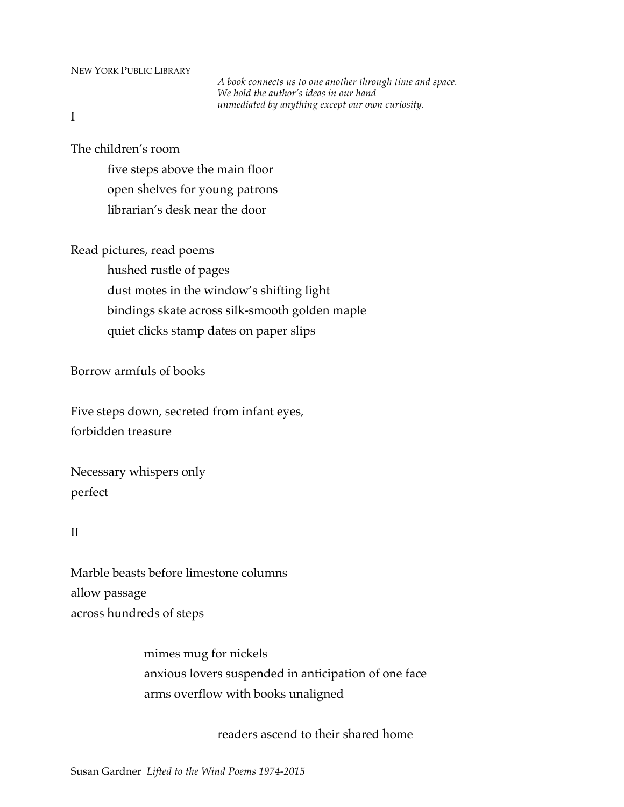## NEW YORK PUBLIC LIBRARY

*A book connects us to one another through time and space. We hold the author's ideas in our hand unmediated by anything except our own curiosity.*

I

The children's room

five steps above the main floor open shelves for young patrons librarian's desk near the door

Read pictures, read poems

hushed rustle of pages dust motes in the window's shifting light bindings skate across silk-smooth golden maple quiet clicks stamp dates on paper slips

Borrow armfuls of books

Five steps down, secreted from infant eyes, forbidden treasure

Necessary whispers only perfect

# II

Marble beasts before limestone columns allow passage across hundreds of steps

> mimes mug for nickels anxious lovers suspended in anticipation of one face arms overflow with books unaligned

> > readers ascend to their shared home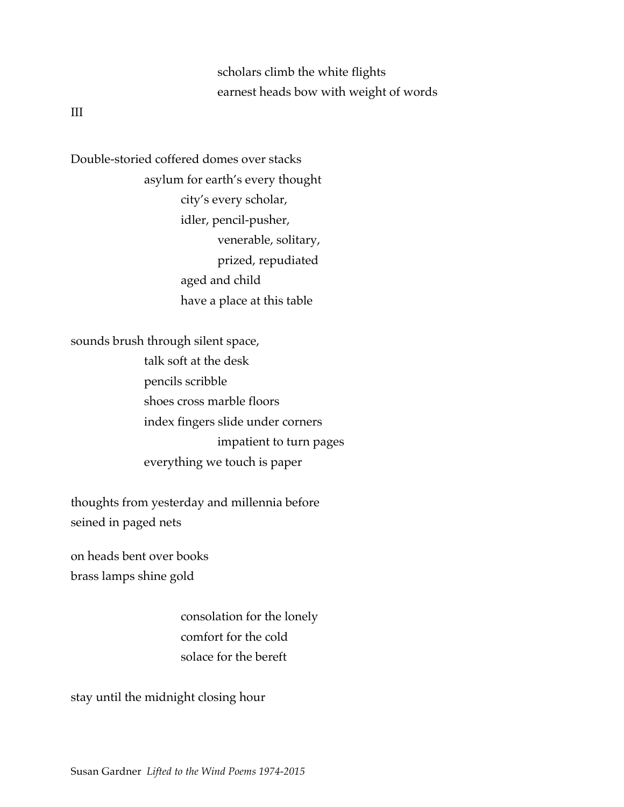scholars climb the white flights earnest heads bow with weight of words

III

Double-storied coffered domes over stacks asylum for earth's every thought city's every scholar, idler, pencil-pusher, venerable, solitary, prized, repudiated aged and child have a place at this table

sounds brush through silent space, talk soft at the desk pencils scribble shoes cross marble floors index fingers slide under corners impatient to turn pages everything we touch is paper

thoughts from yesterday and millennia before seined in paged nets

on heads bent over books brass lamps shine gold

> consolation for the lonely comfort for the cold solace for the bereft

stay until the midnight closing hour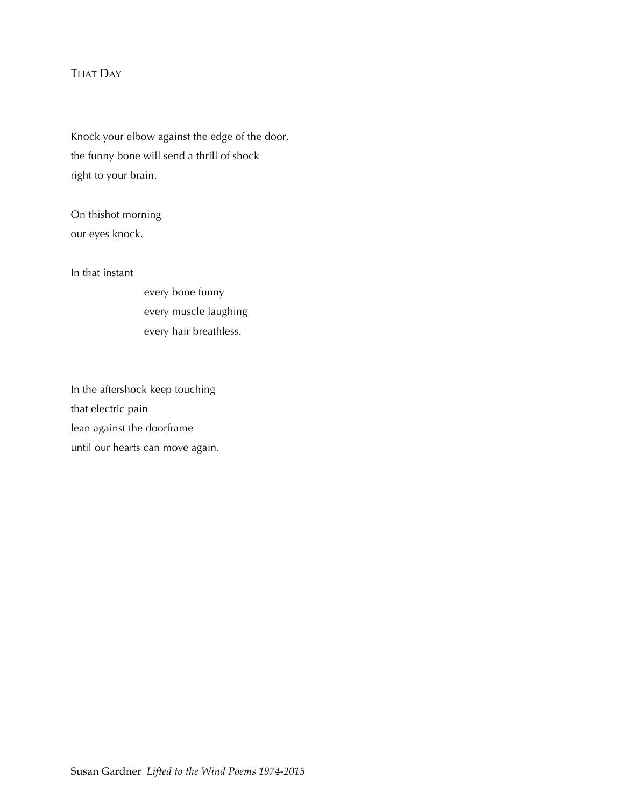# THAT DAY

Knock your elbow against the edge of the door, the funny bone will send a thrill of shock right to your brain.

On thishot morning our eyes knock.

In that instant

every bone funny every muscle laughing every hair breathless.

In the aftershock keep touching that electric pain lean against the doorframe until our hearts can move again.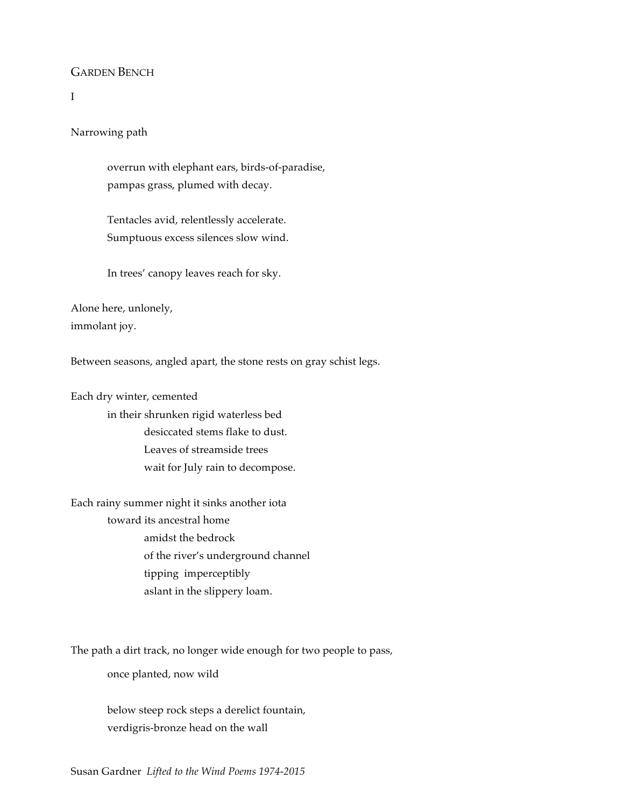# GARDEN BENCH

# I

Narrowing path

overrun with elephant ears, birds-of-paradise, pampas grass, plumed with decay.

Tentacles avid, relentlessly accelerate. Sumptuous excess silences slow wind.

In trees' canopy leaves reach for sky.

Alone here, unlonely, immolant joy.

Between seasons, angled apart, the stone rests on gray schist legs.

Each dry winter, cemented in their shrunken rigid waterless bed desiccated stems flake to dust. Leaves of streamside trees wait for July rain to decompose.

Each rainy summer night it sinks another iota toward its ancestral home amidst the bedrock of the river's underground channel tipping imperceptibly aslant in the slippery loam.

The path a dirt track, no longer wide enough for two people to pass,

once planted, now wild

below steep rock steps a derelict fountain, verdigris-bronze head on the wall

Susan Gardner *Lifted to the Wind Poems 1974-2015*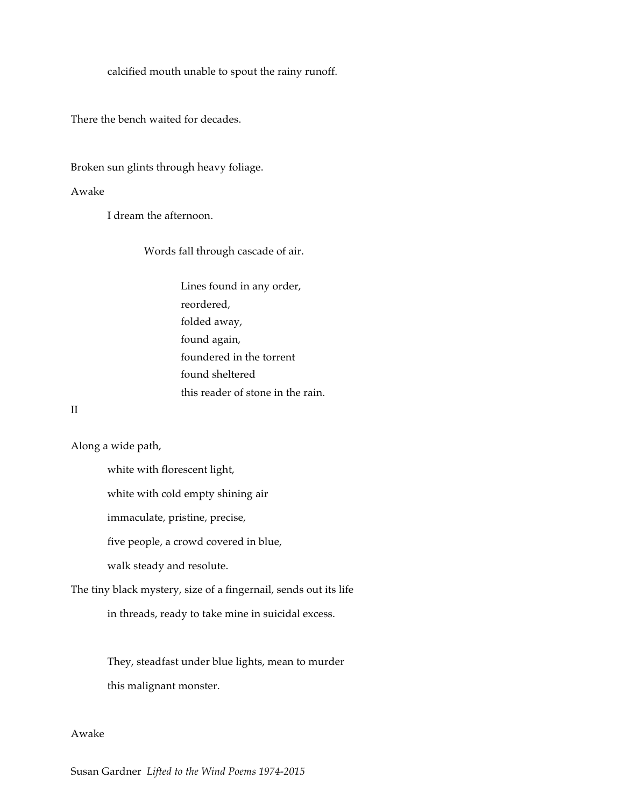calcified mouth unable to spout the rainy runoff.

There the bench waited for decades.

Broken sun glints through heavy foliage.

#### Awake

I dream the afternoon.

Words fall through cascade of air.

Lines found in any order, reordered, folded away, found again, foundered in the torrent found sheltered this reader of stone in the rain.

## II

Along a wide path,

white with florescent light,

white with cold empty shining air

immaculate, pristine, precise,

five people, a crowd covered in blue,

walk steady and resolute.

The tiny black mystery, size of a fingernail, sends out its life

in threads, ready to take mine in suicidal excess.

They, steadfast under blue lights, mean to murder this malignant monster.

# Awake